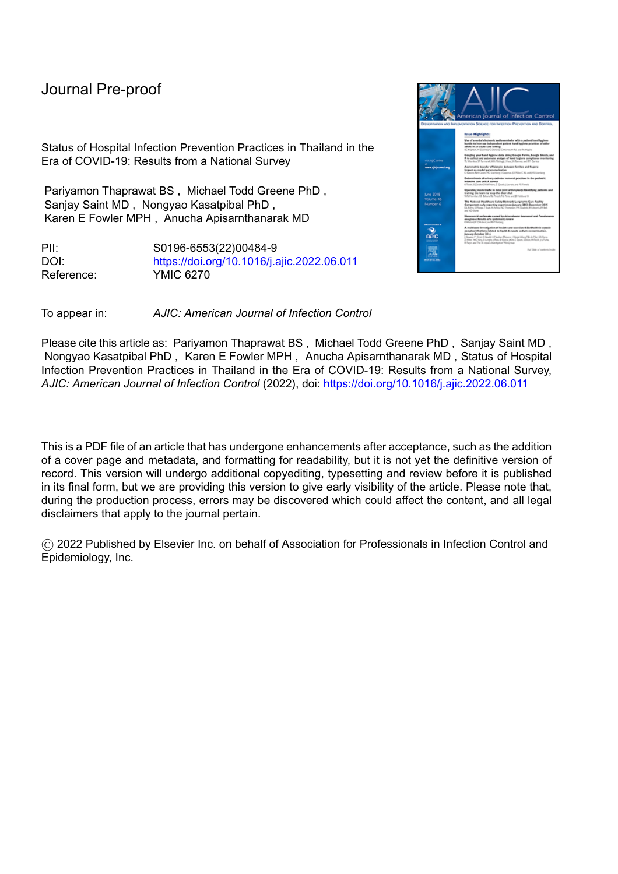Status of Hospital Infection Prevention Practices in Thailand in the Era of COVID-19: Results from a National Survey

Pariyamon Thaprawat BS , Michael Todd Greene PhD , Sanjay Saint MD , Nongyao Kasatpibal PhD , Karen E Fowler MPH , Anucha Apisarnthanarak MD

PII: S0196-6553(22)00484-9 DOI: <https://doi.org/10.1016/j.ajic.2022.06.011> Reference: YMIC 6270



Please cite this article as: Pariyamon Thaprawat BS , Michael Todd Greene PhD , Sanjay Saint MD , Nongyao Kasatpibal PhD , Karen E Fowler MPH , Anucha Apisarnthanarak MD , Status of Hospital Infection Prevention Practices in Thailand in the Era of COVID-19: Results from a National Survey, *AJIC: American Journal of Infection Control* (2022), doi: <https://doi.org/10.1016/j.ajic.2022.06.011>

This is a PDF file of an article that has undergone enhancements after acceptance, such as the addition of a cover page and metadata, and formatting for readability, but it is not yet the definitive version of record. This version will undergo additional copyediting, typesetting and review before it is published in its final form, but we are providing this version to give early visibility of the article. Please note that, during the production process, errors may be discovered which could affect the content, and all legal disclaimers that apply to the journal pertain.

© 2022 Published by Elsevier Inc. on behalf of Association for Professionals in Infection Control and Epidemiology, Inc.

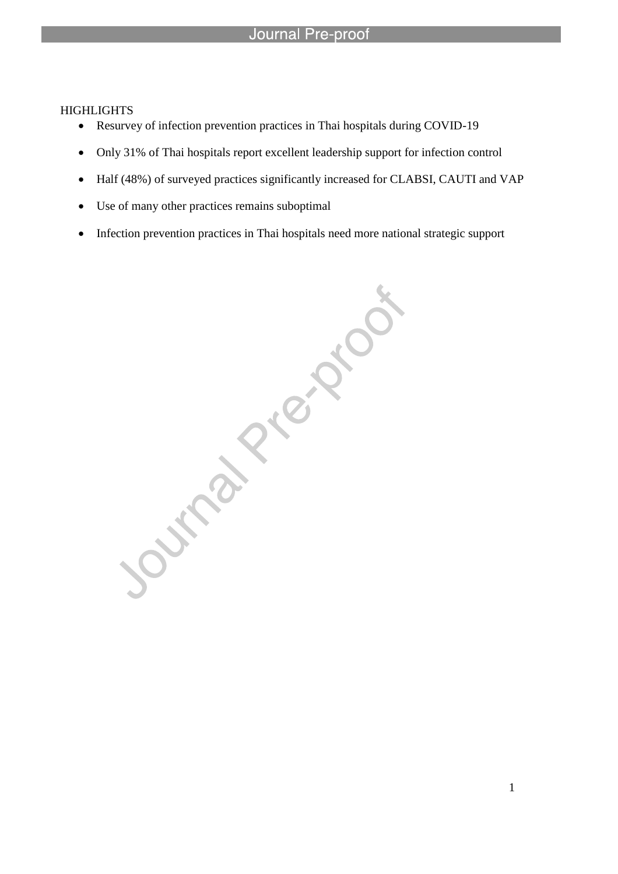# **HIGHLIGHTS**

- Resurvey of infection prevention practices in Thai hospitals during COVID-19
- Only 31% of Thai hospitals report excellent leadership support for infection control
- Half (48%) of surveyed practices significantly increased for CLABSI, CAUTI and VAP
- Use of many other practices remains suboptimal

l

Infection prevention practices in Thai hospitals need more national strategic support<br>
and the contract of the contract of the contract of the contract of the contract of the contract of the contract of the contract of the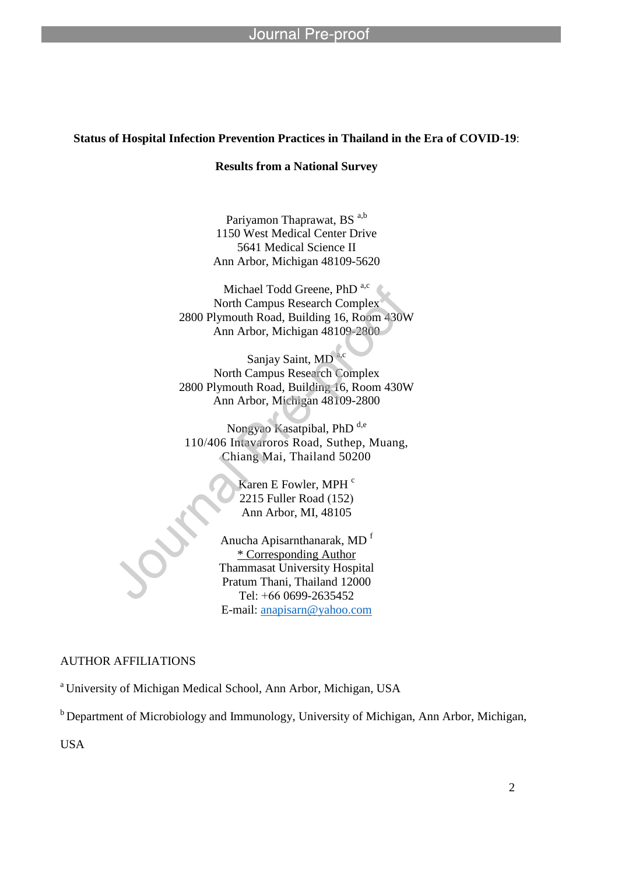l

# **Status of Hospital Infection Prevention Practices in Thailand in the Era of COVID**-**19**:

# **Results from a National Survey**

Pariyamon Thaprawat, BS a,b 1150 West Medical Center Drive 5641 Medical Science II Ann Arbor, Michigan 48109-5620

Michael Todd Greene, PhD<sup>a,c</sup> North Campus Research Complex 2800 Plymouth Road, Building 16, Room 430W Ann Arbor, Michigan 48109-2800

Sanjay Saint, MD North Campus Research Complex 2800 Plymouth Road, Building 16, Room 430W Ann Arbor, Michigan 48109-2800

Nongyao Kasatpibal, PhD<sup>d,e</sup> 110/406 Intavaroros Road, Suthep, Muang, Chiang Mai, Thailand 50200

> Karen E Fowler, MPH<sup>c</sup> 2215 Fuller Road (152) Ann Arbor, MI, 48105

Anucha Apisarnthanarak, MD <sup>f</sup> \* Corresponding Author Thammasat University Hospital Pratum Thani, Thailand 12000 Tel: +66 0699-2635452 E-mail: anapisarn@yahoo.com

### AUTHOR AFFILIATIONS

<sup>a</sup> University of Michigan Medical School, Ann Arbor, Michigan, USA

 $b$  Department of Microbiology and Immunology, University of Michigan, Ann Arbor, Michigan,

USA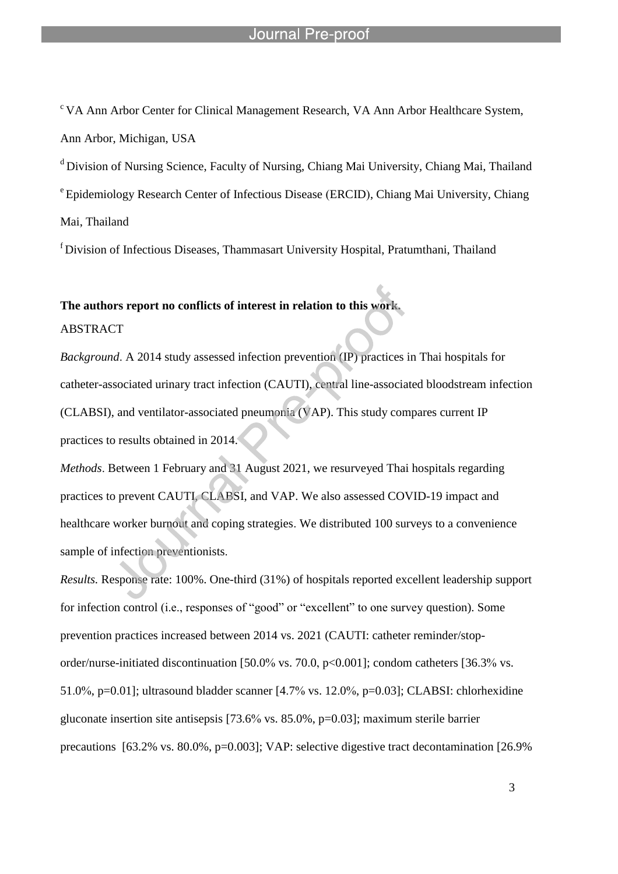$\rm{c\,VA}$  Ann Arbor Center for Clinical Management Research, VA Ann Arbor Healthcare System, Ann Arbor, Michigan, USA

<sup>d</sup> Division of Nursing Science, Faculty of Nursing, Chiang Mai University, Chiang Mai, Thailand <sup>e</sup> Epidemiology Research Center of Infectious Disease (ERCID), Chiang Mai University, Chiang Mai, Thailand

 $f$ Division of Infectious Diseases, Thammasart University Hospital, Pratumthani, Thailand

# **The authors report no conflicts of interest in relation to this work.**

l

ABSTRACT

*Background*. A 2014 study assessed infection prevention (IP) practices in Thai hospitals for catheter-associated urinary tract infection (CAUTI), central line-associated bloodstream infection (CLABSI), and ventilator-associated pneumonia (VAP). This study compares current IP practices to results obtained in 2014.

*Methods*. Between 1 February and 31 August 2021, we resurveyed Thai hospitals regarding practices to prevent CAUTI, CLABSI, and VAP. We also assessed COVID-19 impact and healthcare worker burnout and coping strategies. We distributed 100 surveys to a convenience sample of infection preventionists.

*Results.* Response rate: 100%. One-third (31%) of hospitals reported excellent leadership support for infection control (i.e., responses of "good" or "excellent" to one survey question). Some prevention practices increased between 2014 vs. 2021 (CAUTI: catheter reminder/stoporder/nurse-initiated discontinuation [50.0% vs. 70.0, p<0.001]; condom catheters [36.3% vs. 51.0%, p=0.01]; ultrasound bladder scanner [4.7% vs. 12.0%, p=0.03]; CLABSI: chlorhexidine gluconate insertion site antisepsis [73.6% vs. 85.0%, p=0.03]; maximum sterile barrier precautions [63.2% vs. 80.0%, p=0.003]; VAP: selective digestive tract decontamination [26.9%]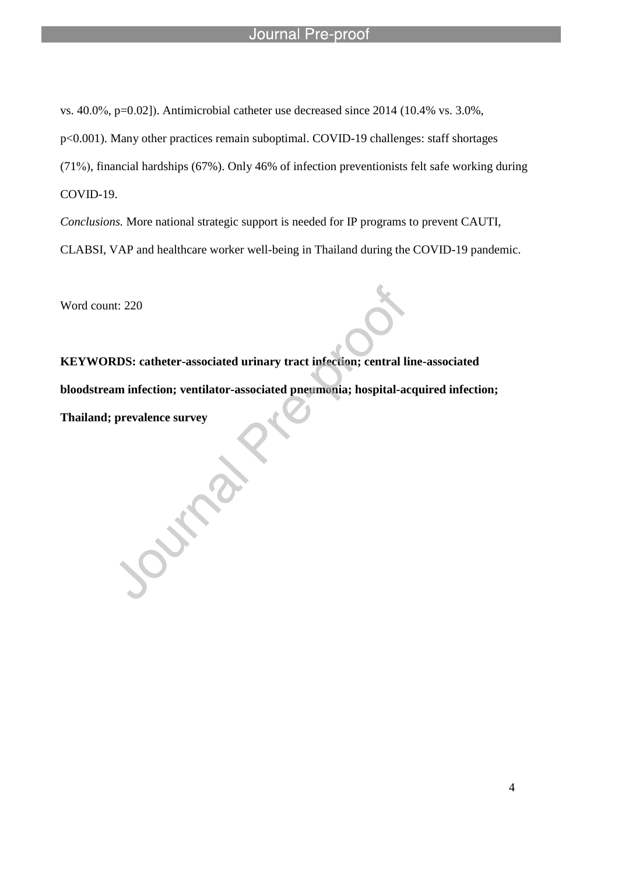vs. 40.0%, p=0.02]). Antimicrobial catheter use decreased since 2014 (10.4% vs. 3.0%,

l

p<0.001). Many other practices remain suboptimal. COVID-19 challenges: staff shortages

(71%), financial hardships (67%). Only 46% of infection preventionists felt safe working during COVID-19.

*Conclusions.* More national strategic support is needed for IP programs to prevent CAUTI, CLABSI, VAP and healthcare worker well-being in Thailand during the COVID-19 pandemic.

Word count: 220

**KEYWORDS: catheter-associated urinary tract infection; central line-associated bloodstream infection; ventilator-associated pneumonia; hospital-acquired infection; Thailand; prevalence survey**

Outra.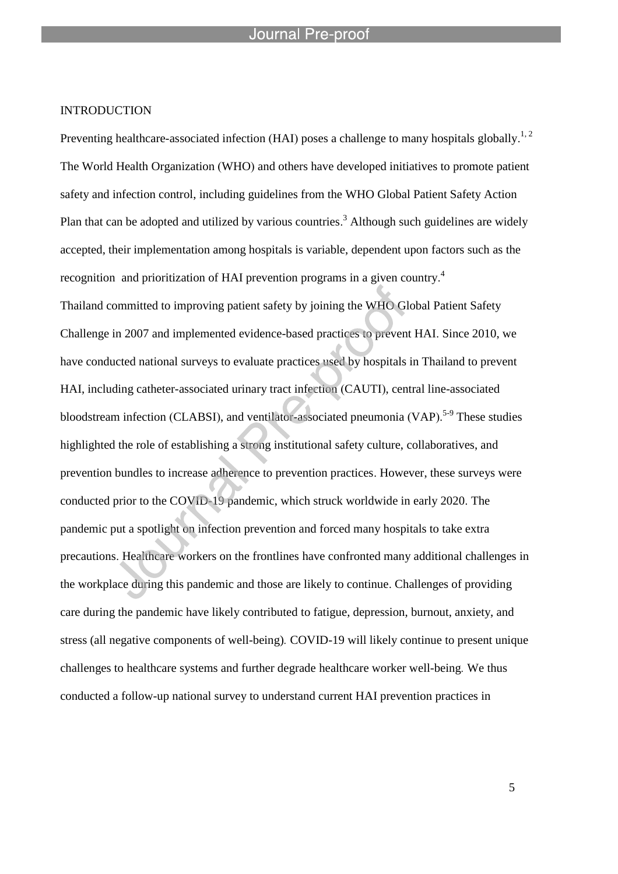l

## INTRODUCTION

Preventing healthcare-associated infection (HAI) poses a challenge to many hospitals globally.<sup>1, 2</sup> The World Health Organization (WHO) and others have developed initiatives to promote patient safety and infection control, including guidelines from the WHO Global Patient Safety Action Plan that can be adopted and utilized by various countries.<sup>3</sup> Although such guidelines are widely accepted, their implementation among hospitals is variable, dependent upon factors such as the recognition and prioritization of HAI prevention programs in a given country.<sup>4</sup> Thailand committed to improving patient safety by joining the WHO Global Patient Safety Challenge in 2007 and implemented evidence-based practices to prevent HAI. Since 2010, we have conducted national surveys to evaluate practices used by hospitals in Thailand to prevent HAI, including catheter-associated urinary tract infection (CAUTI), central line-associated bloodstream infection (CLABSI), and ventilator-associated pneumonia (VAP).<sup>5-9</sup> These studies highlighted the role of establishing a strong institutional safety culture, collaboratives, and prevention bundles to increase adherence to prevention practices. However, these surveys were conducted prior to the COVID-19 pandemic, which struck worldwide in early 2020. The pandemic put a spotlight on infection prevention and forced many hospitals to take extra precautions. Healthcare workers on the frontlines have confronted many additional challenges in the workplace during this pandemic and those are likely to continue. Challenges of providing care during the pandemic have likely contributed to fatigue, depression, burnout, anxiety, and stress (all negative components of well*-*being)*.* COVID*-*19 will likely continue to present unique challenges to healthcare systems and further degrade healthcare worker well*-*being*.* We thus conducted a follow-up national survey to understand current HAI prevention practices in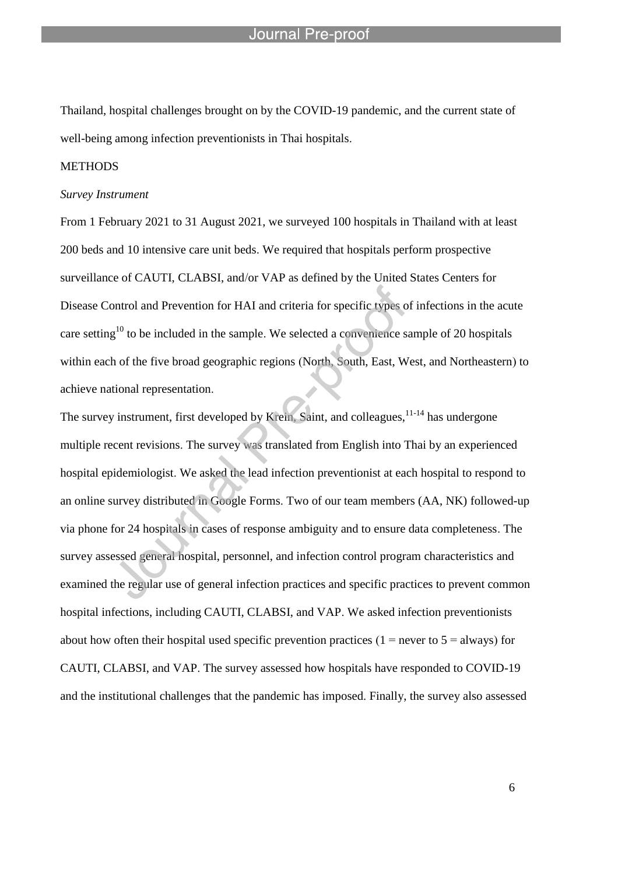Thailand, hospital challenges brought on by the COVID-19 pandemic, and the current state of well-being among infection preventionists in Thai hospitals.

l

# **METHODS**

#### *Survey Instrument*

From 1 February 2021 to 31 August 2021, we surveyed 100 hospitals in Thailand with at least 200 beds and 10 intensive care unit beds. We required that hospitals perform prospective surveillance of CAUTI, CLABSI, and/or VAP as defined by the United States Centers for Disease Control and Prevention for HAI and criteria for specific types of infections in the acute care setting<sup>10</sup> to be included in the sample. We selected a convenience sample of 20 hospitals within each of the five broad geographic regions (North, South, East, West, and Northeastern) to achieve national representation.

The survey instrument, first developed by Krein, Saint, and colleagues, <sup>11-14</sup> has undergone multiple recent revisions. The survey was translated from English into Thai by an experienced hospital epidemiologist. We asked the lead infection preventionist at each hospital to respond to an online survey distributed in Google Forms. Two of our team members (AA, NK) followed-up via phone for 24 hospitals in cases of response ambiguity and to ensure data completeness. The survey assessed general hospital, personnel, and infection control program characteristics and examined the regular use of general infection practices and specific practices to prevent common hospital infections, including CAUTI, CLABSI, and VAP. We asked infection preventionists about how often their hospital used specific prevention practices  $(1 =$  never to  $5 =$  always) for CAUTI, CLABSI, and VAP. The survey assessed how hospitals have responded to COVID-19 and the institutional challenges that the pandemic has imposed. Finally, the survey also assessed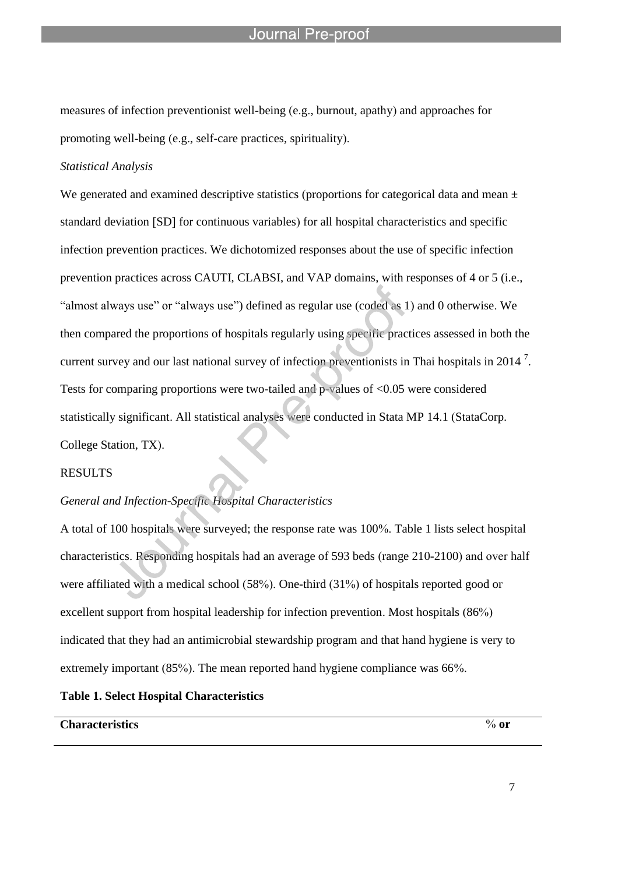measures of infection preventionist well-being (e.g., burnout, apathy) and approaches for promoting well-being (e.g., self-care practices, spirituality).

l

# *Statistical Analysis*

We generated and examined descriptive statistics (proportions for categorical data and mean  $\pm$ standard deviation [SD] for continuous variables) for all hospital characteristics and specific infection prevention practices. We dichotomized responses about the use of specific infection prevention practices across CAUTI, CLABSI, and VAP domains, with responses of 4 or 5 (i.e., "almost always use" or "always use") defined as regular use (coded as 1) and 0 otherwise. We then compared the proportions of hospitals regularly using specific practices assessed in both the current survey and our last national survey of infection preventionists in Thai hospitals in 2014<sup>7</sup>. Tests for comparing proportions were two-tailed and p-values of <0.05 were considered statistically significant. All statistical analyses were conducted in Stata MP 14.1 (StataCorp. College Station, TX).

# RESULTS

# *General and Infection-Specific Hospital Characteristics*

A total of 100 hospitals were surveyed; the response rate was 100%. Table 1 lists select hospital characteristics. Responding hospitals had an average of 593 beds (range 210-2100) and over half were affiliated with a medical school (58%). One-third (31%) of hospitals reported good or excellent support from hospital leadership for infection prevention. Most hospitals (86%) indicated that they had an antimicrobial stewardship program and that hand hygiene is very to extremely important (85%). The mean reported hand hygiene compliance was 66%.

# **Table 1. Select Hospital Characteristics**

# **Characteristics** % **or**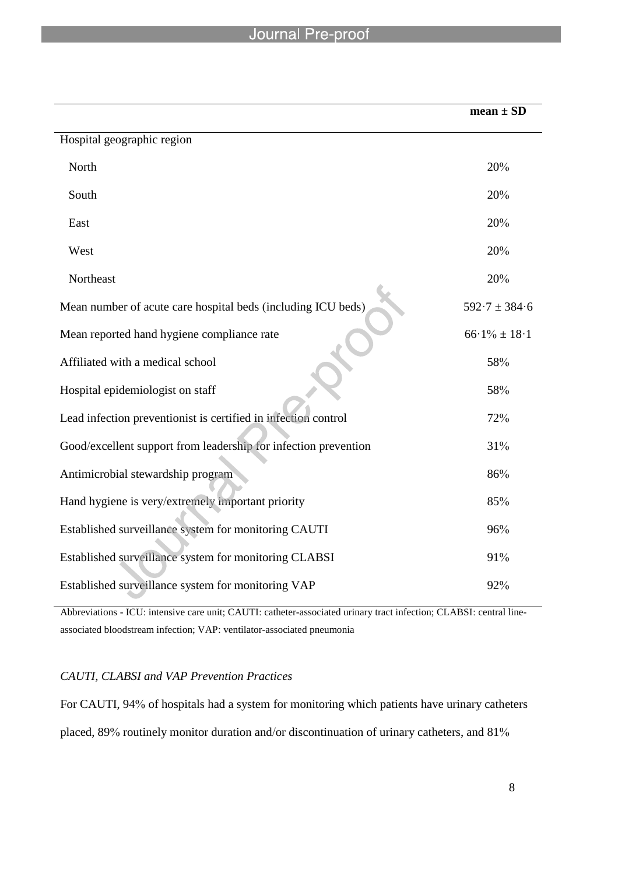l

|                                                                 | $mean \pm SD$     |
|-----------------------------------------------------------------|-------------------|
| Hospital geographic region                                      |                   |
| North                                                           | 20%               |
| South                                                           | 20%               |
| East                                                            | 20%               |
| West                                                            | 20%               |
| Northeast                                                       | 20%               |
| Mean number of acute care hospital beds (including ICU beds)    | $592.7 \pm 384.6$ |
| Mean reported hand hygiene compliance rate                      | $66.1\% \pm 18.1$ |
| Affiliated with a medical school                                | 58%               |
| Hospital epidemiologist on staff                                | 58%               |
| Lead infection preventionist is certified in infection control  | 72%               |
| Good/excellent support from leadership for infection prevention | 31%               |
| Antimicrobial stewardship program                               | 86%               |
| Hand hygiene is very/extremely important priority               | 85%               |
| Established surveillance system for monitoring CAUTI            | 96%               |
| Established surveillance system for monitoring CLABSI           | 91%               |
| Established surveillance system for monitoring VAP              | 92%               |

Abbreviations - ICU: intensive care unit; CAUTI: catheter-associated urinary tract infection; CLABSI: central lineassociated bloodstream infection; VAP: ventilator-associated pneumonia

# *CAUTI, CLABSI and VAP Prevention Practices*

For CAUTI, 94% of hospitals had a system for monitoring which patients have urinary catheters placed, 89% routinely monitor duration and/or discontinuation of urinary catheters, and 81%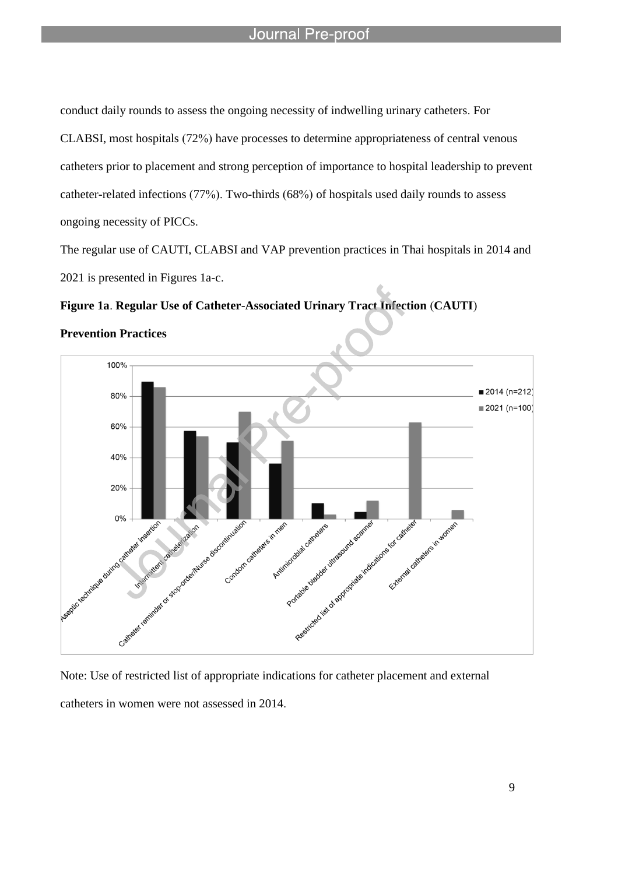l

conduct daily rounds to assess the ongoing necessity of indwelling urinary catheters. For CLABSI, most hospitals (72%) have processes to determine appropriateness of central venous catheters prior to placement and strong perception of importance to hospital leadership to prevent catheter-related infections (77%). Two-thirds (68%) of hospitals used daily rounds to assess ongoing necessity of PICCs.

The regular use of CAUTI, CLABSI and VAP prevention practices in Thai hospitals in 2014 and 2021 is presented in Figures 1a-c.

# **Figure 1a**. **Regular Use of Catheter**-**Associated Urinary Tract Infection** (**CAUTI**)



**Prevention Practices**

Note: Use of restricted list of appropriate indications for catheter placement and external catheters in women were not assessed in 2014.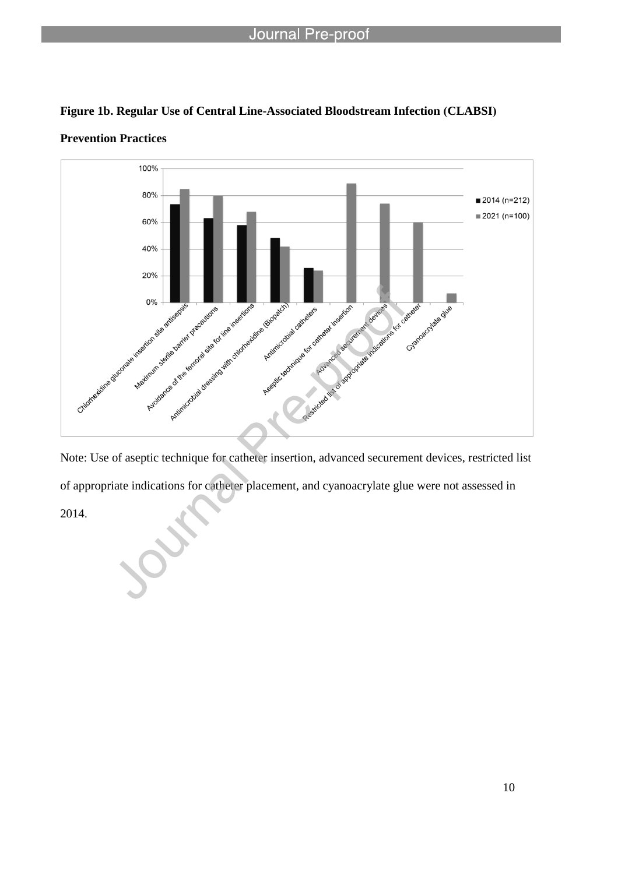

l



**Prevention Practices**

Note: Use of aseptic technique for catheter insertion, advanced securement devices, restricted list of appropriate indications for catheter placement, and cyanoacrylate glue were not assessed in

2014.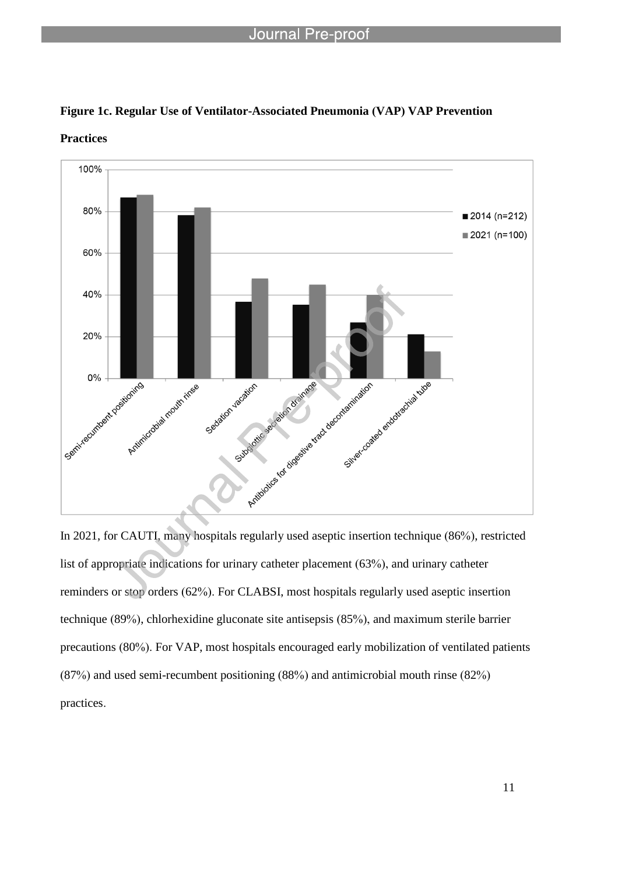

**Figure 1c. Regular Use of Ventilator-Associated Pneumonia (VAP) VAP Prevention** 

l

**Practices**

In 2021, for CAUTI, many hospitals regularly used aseptic insertion technique (86%), restricted list of appropriate indications for urinary catheter placement (63%), and urinary catheter reminders or stop orders (62%). For CLABSI, most hospitals regularly used aseptic insertion technique (89%), chlorhexidine gluconate site antisepsis (85%), and maximum sterile barrier precautions (80%). For VAP, most hospitals encouraged early mobilization of ventilated patients (87%) and used semi-recumbent positioning (88%) and antimicrobial mouth rinse (82%) practices.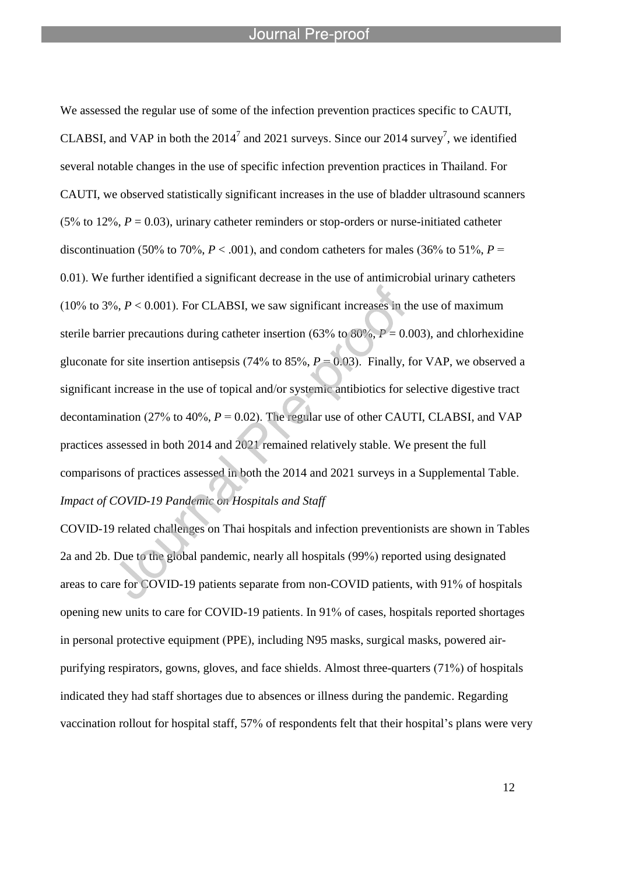l

We assessed the regular use of some of the infection prevention practices specific to CAUTI, CLABSI, and VAP in both the  $2014<sup>7</sup>$  and 2021 surveys. Since our 2014 survey<sup>7</sup>, we identified several notable changes in the use of specific infection prevention practices in Thailand. For CAUTI, we observed statistically significant increases in the use of bladder ultrasound scanners (5% to 12%,  $P = 0.03$ ), urinary catheter reminders or stop-orders or nurse-initiated catheter discontinuation (50% to 70%,  $P < .001$ ), and condom catheters for males (36% to 51%,  $P =$ 0.01). We further identified a significant decrease in the use of antimicrobial urinary catheters (10% to 3%,  $P < 0.001$ ). For CLABSI, we saw significant increases in the use of maximum sterile barrier precautions during catheter insertion (63% to  $80\%$ ,  $P = 0.003$ ), and chlorhexidine gluconate for site insertion antisepsis (74% to 85%,  $P = 0.03$ ). Finally, for VAP, we observed a significant increase in the use of topical and/or systemic antibiotics for selective digestive tract decontamination (27% to 40%,  $P = 0.02$ ). The regular use of other CAUTI, CLABSI, and VAP practices assessed in both 2014 and 2021 remained relatively stable. We present the full comparisons of practices assessed in both the 2014 and 2021 surveys in a Supplemental Table. *Impact of COVID-19 Pandemic on Hospitals and Staff*

COVID-19 related challenges on Thai hospitals and infection preventionists are shown in Tables 2a and 2b. Due to the global pandemic, nearly all hospitals (99%) reported using designated areas to care for COVID-19 patients separate from non-COVID patients, with 91% of hospitals opening new units to care for COVID-19 patients. In 91% of cases, hospitals reported shortages in personal protective equipment (PPE), including N95 masks, surgical masks, powered airpurifying respirators, gowns, gloves, and face shields. Almost three-quarters (71%) of hospitals indicated they had staff shortages due to absences or illness during the pandemic. Regarding vaccination rollout for hospital staff, 57% of respondents felt that their hospital's plans were very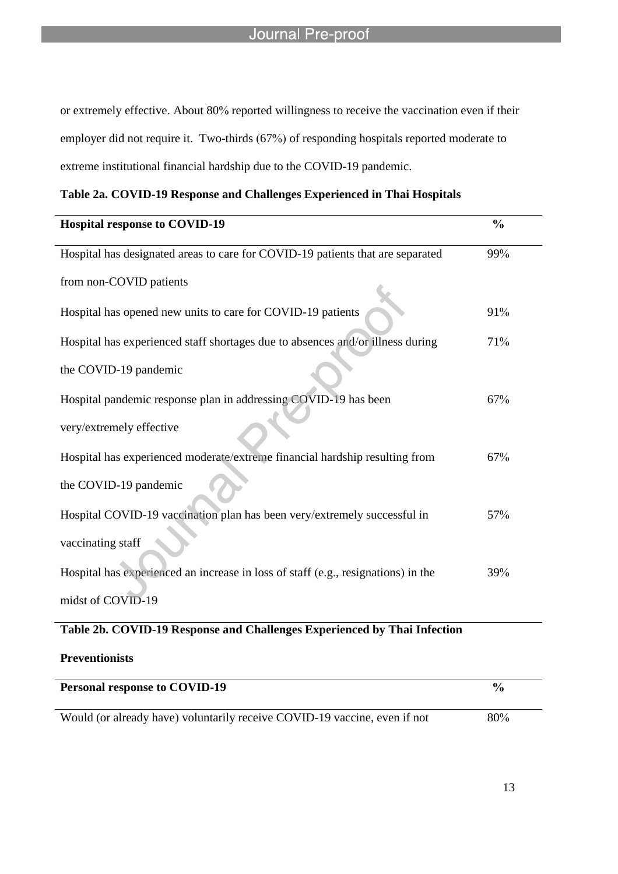or extremely effective. About 80% reported willingness to receive the vaccination even if their employer did not require it. Two-thirds (67%) of responding hospitals reported moderate to extreme institutional financial hardship due to the COVID-19 pandemic.

l

| <b>Hospital response to COVID-19</b>                                              | $\frac{0}{0}$ |
|-----------------------------------------------------------------------------------|---------------|
| Hospital has designated areas to care for COVID-19 patients that are separated    | 99%           |
| from non-COVID patients                                                           |               |
| Hospital has opened new units to care for COVID-19 patients                       | 91%           |
| Hospital has experienced staff shortages due to absences and/or illness during    | 71%           |
| the COVID-19 pandemic                                                             |               |
| Hospital pandemic response plan in addressing COVID-19 has been                   | 67%           |
| very/extremely effective                                                          |               |
| Hospital has experienced moderate/extreme financial hardship resulting from       | 67%           |
| the COVID-19 pandemic                                                             |               |
| Hospital COVID-19 vaccination plan has been very/extremely successful in          | 57%           |
| vaccinating staff                                                                 |               |
| Hospital has experienced an increase in loss of staff (e.g., resignations) in the | 39%           |
| midst of COVID-19                                                                 |               |

# **Table 2b. COVID**-**19 Response and Challenges Experienced by Thai Infection**

**Preventionists**

| <b>Personal response to COVID-19</b>                                      | $\frac{1}{2}$ |
|---------------------------------------------------------------------------|---------------|
| Would (or already have) voluntarily receive COVID-19 vaccine, even if not | 80%           |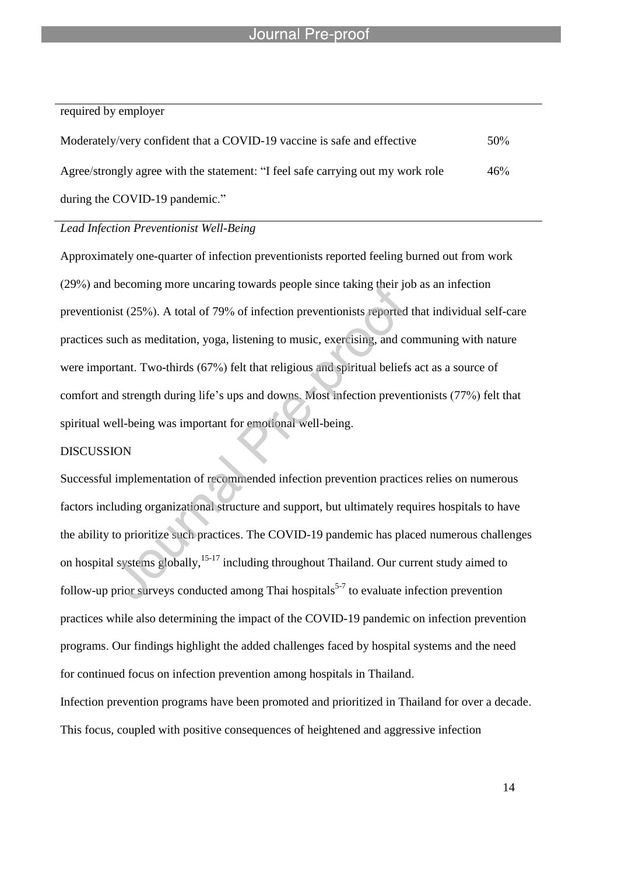l

#### required by employer

| Moderately/very confident that a COVID-19 vaccine is safe and effective         | $50\%$ |
|---------------------------------------------------------------------------------|--------|
| Agree/strongly agree with the statement: "I feel safe carrying out my work role | 46%    |
| during the COVID-19 pandemic."                                                  |        |

# *Lead Infection Preventionist Well-Being*

Approximately one-quarter of infection preventionists reported feeling burned out from work (29%) and becoming more uncaring towards people since taking their job as an infection preventionist (25%). A total of 79% of infection preventionists reported that individual self-care practices such as meditation, yoga, listening to music, exercising, and communing with nature were important. Two-thirds (67%) felt that religious and spiritual beliefs act as a source of comfort and strength during life's ups and downs. Most infection preventionists (77%) felt that spiritual well-being was important for emotional well-being.

#### DISCUSSION

Successful implementation of recommended infection prevention practices relies on numerous factors including organizational structure and support, but ultimately requires hospitals to have the ability to prioritize such practices. The COVID-19 pandemic has placed numerous challenges on hospital systems globally,<sup>15-17</sup> including throughout Thailand. Our current study aimed to follow-up prior surveys conducted among Thai hospitals<sup>5-7</sup> to evaluate infection prevention practices while also determining the impact of the COVID-19 pandemic on infection prevention programs. Our findings highlight the added challenges faced by hospital systems and the need for continued focus on infection prevention among hospitals in Thailand. Infection prevention programs have been promoted and prioritized in Thailand for over a decade. This focus, coupled with positive consequences of heightened and aggressive infection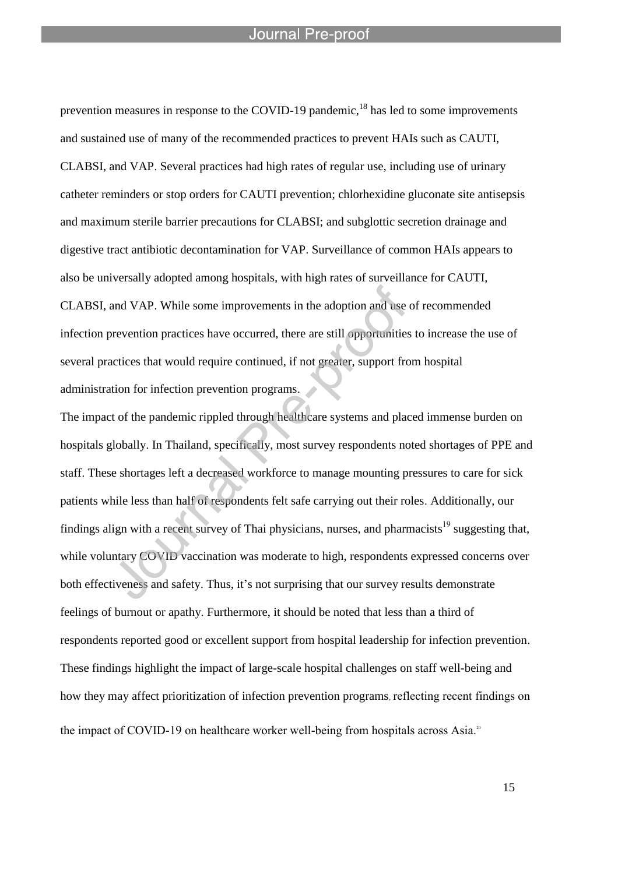l

prevention measures in response to the COVID-19 pandemic,<sup>18</sup> has led to some improvements and sustained use of many of the recommended practices to prevent HAIs such as CAUTI, CLABSI, and VAP. Several practices had high rates of regular use, including use of urinary catheter reminders or stop orders for CAUTI prevention; chlorhexidine gluconate site antisepsis and maximum sterile barrier precautions for CLABSI; and subglottic secretion drainage and digestive tract antibiotic decontamination for VAP. Surveillance of common HAIs appears to also be universally adopted among hospitals, with high rates of surveillance for CAUTI, CLABSI, and VAP. While some improvements in the adoption and use of recommended infection prevention practices have occurred, there are still opportunities to increase the use of several practices that would require continued, if not greater, support from hospital administration for infection prevention programs.

The impact of the pandemic rippled through healthcare systems and placed immense burden on hospitals globally. In Thailand, specifically, most survey respondents noted shortages of PPE and staff. These shortages left a decreased workforce to manage mounting pressures to care for sick patients while less than half of respondents felt safe carrying out their roles. Additionally, our findings align with a recent survey of Thai physicians, nurses, and pharmacists<sup>19</sup> suggesting that, while voluntary COVID vaccination was moderate to high, respondents expressed concerns over both effectiveness and safety. Thus, it's not surprising that our survey results demonstrate feelings of burnout or apathy. Furthermore, it should be noted that less than a third of respondents reported good or excellent support from hospital leadership for infection prevention. These findings highlight the impact of large-scale hospital challenges on staff well-being and how they may affect prioritization of infection prevention programs, reflecting recent findings on the impact of COVID-19 on healthcare worker well-being from hospitals across Asia.<sup>20</sup>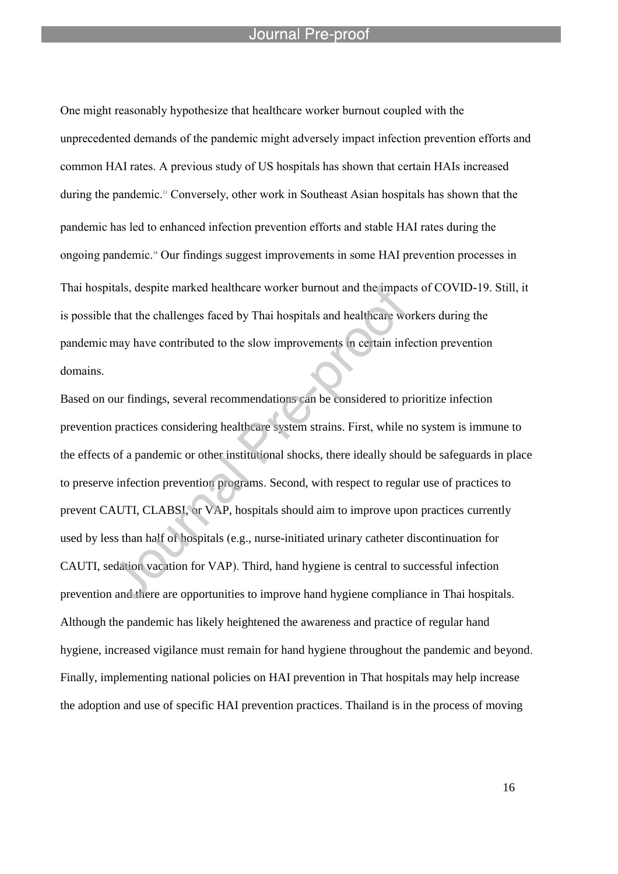l

One might reasonably hypothesize that healthcare worker burnout coupled with the unprecedented demands of the pandemic might adversely impact infection prevention efforts and common HAI rates. A previous study of US hospitals has shown that certain HAIs increased during the pandemic.<sup>21</sup> Conversely, other work in Southeast Asian hospitals has shown that the pandemic has led to enhanced infection prevention efforts and stable HAI rates during the ongoing pandemic.<sup>18</sup> Our findings suggest improvements in some HAI prevention processes in Thai hospitals, despite marked healthcare worker burnout and the impacts of COVID-19. Still, it is possible that the challenges faced by Thai hospitals and healthcare workers during the pandemic may have contributed to the slow improvements in certain infection prevention domains.

Based on our findings, several recommendations can be considered to prioritize infection prevention practices considering healthcare system strains. First, while no system is immune to the effects of a pandemic or other institutional shocks, there ideally should be safeguards in place to preserve infection prevention programs. Second, with respect to regular use of practices to prevent CAUTI, CLABSI, or VAP, hospitals should aim to improve upon practices currently used by less than half of hospitals (e.g., nurse-initiated urinary catheter discontinuation for CAUTI, sedation vacation for VAP). Third, hand hygiene is central to successful infection prevention and there are opportunities to improve hand hygiene compliance in Thai hospitals. Although the pandemic has likely heightened the awareness and practice of regular hand hygiene, increased vigilance must remain for hand hygiene throughout the pandemic and beyond. Finally, implementing national policies on HAI prevention in That hospitals may help increase the adoption and use of specific HAI prevention practices. Thailand is in the process of moving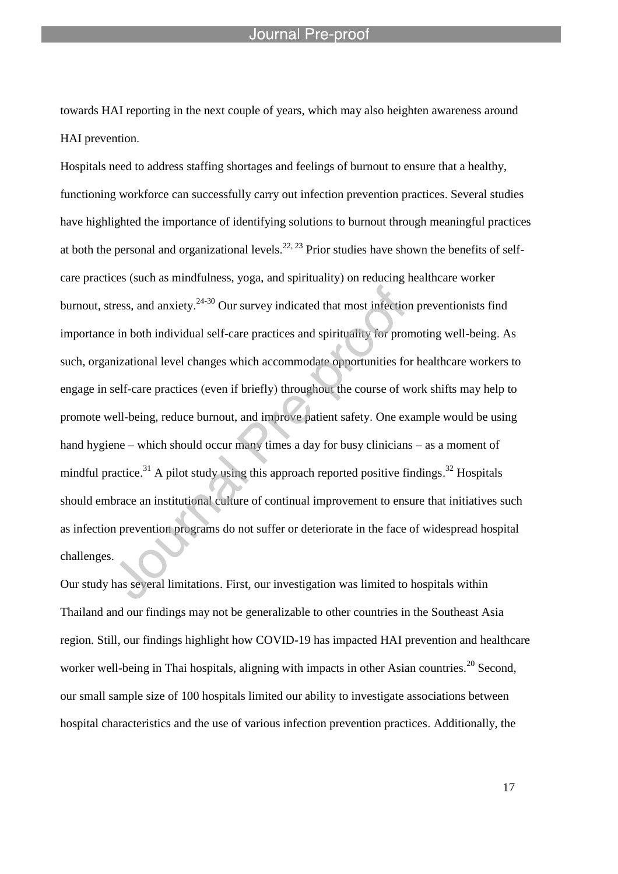towards HAI reporting in the next couple of years, which may also heighten awareness around HAI prevention.

l

Hospitals need to address staffing shortages and feelings of burnout to ensure that a healthy, functioning workforce can successfully carry out infection prevention practices. Several studies have highlighted the importance of identifying solutions to burnout through meaningful practices at both the personal and organizational levels.<sup>22, 23</sup> Prior studies have shown the benefits of selfcare practices (such as mindfulness, yoga, and spirituality) on reducing healthcare worker burnout, stress, and anxiety.<sup>24-30</sup> Our survey indicated that most infection preventionists find importance in both individual self-care practices and spirituality for promoting well-being. As such, organizational level changes which accommodate opportunities for healthcare workers to engage in self-care practices (even if briefly) throughout the course of work shifts may help to promote well-being, reduce burnout, and improve patient safety. One example would be using hand hygiene – which should occur many times a day for busy clinicians – as a moment of mindful practice.<sup>31</sup> A pilot study using this approach reported positive findings.<sup>32</sup> Hospitals should embrace an institutional culture of continual improvement to ensure that initiatives such as infection prevention programs do not suffer or deteriorate in the face of widespread hospital challenges.

Our study has several limitations. First, our investigation was limited to hospitals within Thailand and our findings may not be generalizable to other countries in the Southeast Asia region. Still, our findings highlight how COVID-19 has impacted HAI prevention and healthcare worker well-being in Thai hospitals, aligning with impacts in other Asian countries.<sup>20</sup> Second, our small sample size of 100 hospitals limited our ability to investigate associations between hospital characteristics and the use of various infection prevention practices. Additionally, the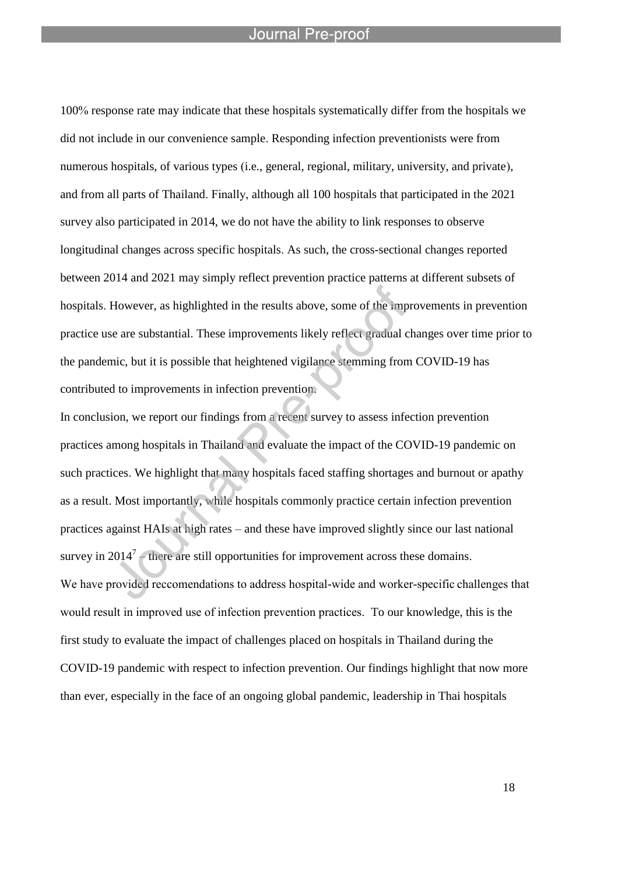l

100% response rate may indicate that these hospitals systematically differ from the hospitals we did not include in our convenience sample. Responding infection preventionists were from numerous hospitals, of various types (i.e., general, regional, military, university, and private), and from all parts of Thailand. Finally, although all 100 hospitals that participated in the 2021 survey also participated in 2014, we do not have the ability to link responses to observe longitudinal changes across specific hospitals. As such, the cross-sectional changes reported between 2014 and 2021 may simply reflect prevention practice patterns at different subsets of hospitals. However, as highlighted in the results above, some of the improvements in prevention practice use are substantial. These improvements likely reflect gradual changes over time prior to the pandemic, but it is possible that heightened vigilance stemming from COVID-19 has contributed to improvements in infection prevention.

In conclusion, we report our findings from a recent survey to assess infection prevention practices among hospitals in Thailand and evaluate the impact of the COVID-19 pandemic on such practices. We highlight that many hospitals faced staffing shortages and burnout or apathy as a result. Most importantly, while hospitals commonly practice certain infection prevention practices against HAIs at high rates – and these have improved slightly since our last national survey in  $2014<sup>7</sup>$  – there are still opportunities for improvement across these domains. We have provided reccomendations to address hospital-wide and worker-specific challenges that would result in improved use of infection prevention practices. To our knowledge, this is the first study to evaluate the impact of challenges placed on hospitals in Thailand during the COVID-19 pandemic with respect to infection prevention. Our findings highlight that now more than ever, especially in the face of an ongoing global pandemic, leadership in Thai hospitals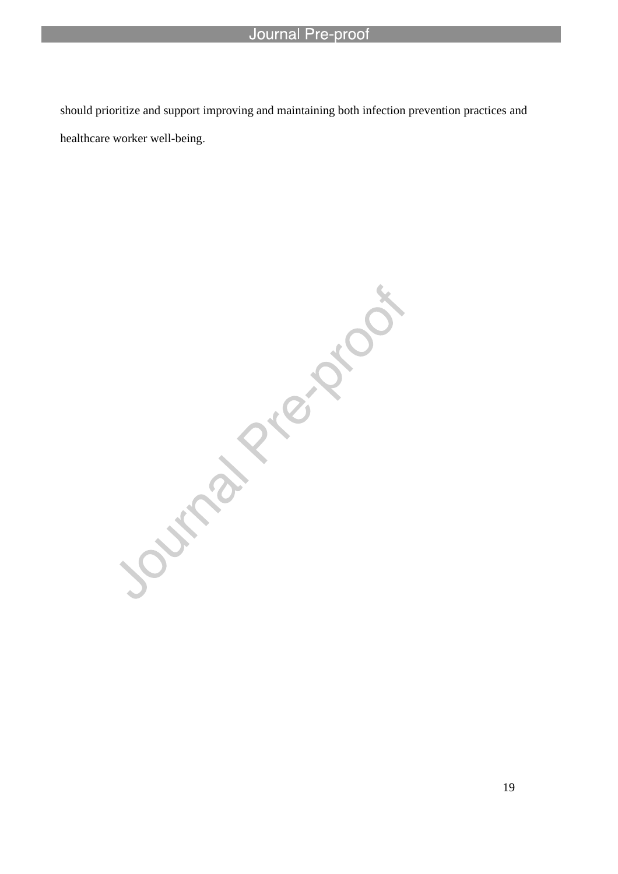l

should prioritize and support improving and maintaining both infection prevention practices and healthcare worker well-being.

Journal Piezzooi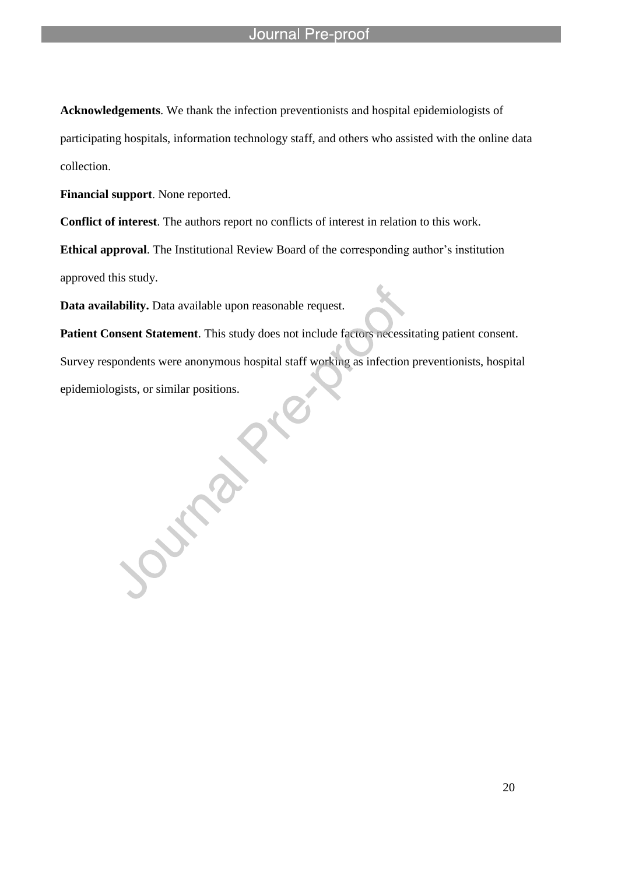**Acknowledgements**. We thank the infection preventionists and hospital epidemiologists of participating hospitals, information technology staff, and others who assisted with the online data collection.

**Financial support**. None reported.

**Conflict of interest**. The authors report no conflicts of interest in relation to this work.

**Ethical approval**. The Institutional Review Board of the corresponding author's institution

approved this study.

**Data availability.** Data available upon reasonable request.

l

**Patient Consent Statement**. This study does not include factors necessitating patient consent.

Survey respondents were anonymous hospital staff working as infection preventionists, hospital epidemiologists, or similar positions.

**Purpley**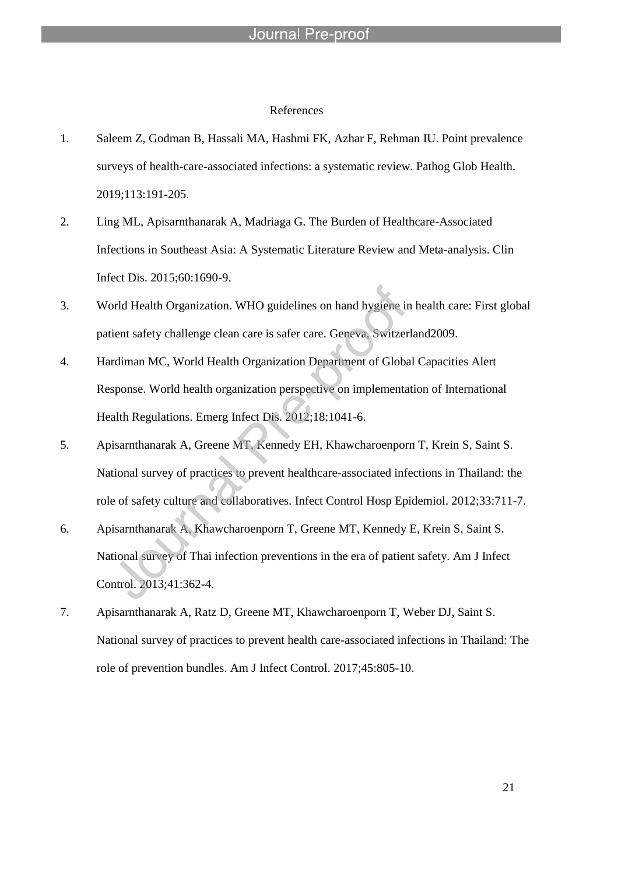#### References

- 1. Saleem Z, Godman B, Hassali MA, Hashmi FK, Azhar F, Rehman IU. Point prevalence surveys of health-care-associated infections: a systematic review. Pathog Glob Health. 2019;113:191-205.
- 2. Ling ML, Apisarnthanarak A, Madriaga G. The Burden of Healthcare-Associated Infections in Southeast Asia: A Systematic Literature Review and Meta-analysis. Clin Infect Dis. 2015;60:1690-9.
- 3. World Health Organization. WHO guidelines on hand hygiene in health care: First global patient safety challenge clean care is safer care. Geneva, Switzerland2009.
- 4. Hardiman MC, World Health Organization Department of Global Capacities Alert Response. World health organization perspective on implementation of International Health Regulations. Emerg Infect Dis. 2012;18:1041-6.
- 5. Apisarnthanarak A, Greene MT, Kennedy EH, Khawcharoenporn T, Krein S, Saint S. National survey of practices to prevent healthcare-associated infections in Thailand: the role of safety culture and collaboratives. Infect Control Hosp Epidemiol. 2012;33:711-7.
- 6. Apisarnthanarak A, Khawcharoenporn T, Greene MT, Kennedy E, Krein S, Saint S. National survey of Thai infection preventions in the era of patient safety. Am J Infect Control. 2013;41:362-4.
- 7. Apisarnthanarak A, Ratz D, Greene MT, Khawcharoenporn T, Weber DJ, Saint S. National survey of practices to prevent health care-associated infections in Thailand: The role of prevention bundles. Am J Infect Control. 2017;45:805-10.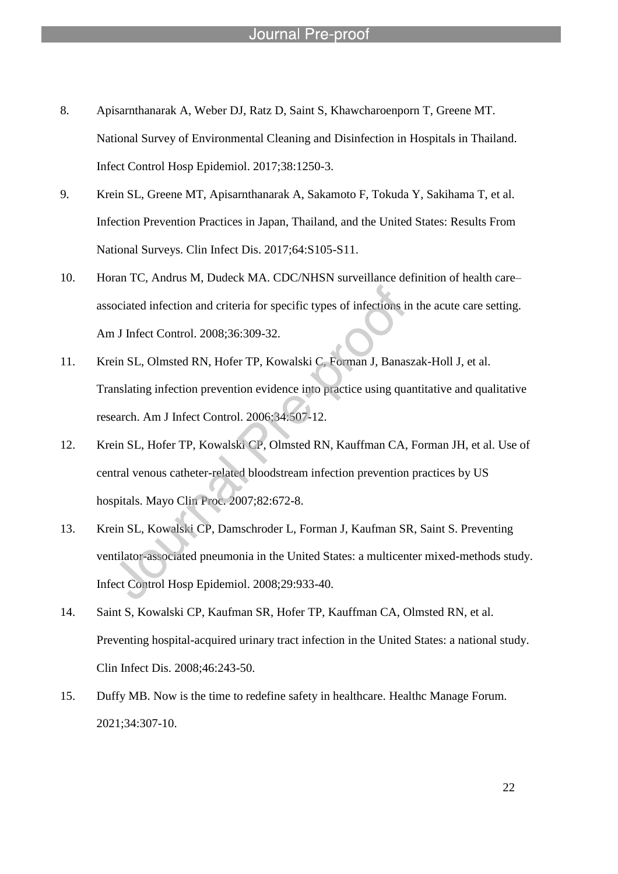8. Apisarnthanarak A, Weber DJ, Ratz D, Saint S, Khawcharoenporn T, Greene MT. National Survey of Environmental Cleaning and Disinfection in Hospitals in Thailand. Infect Control Hosp Epidemiol. 2017;38:1250-3.

- 9. Krein SL, Greene MT, Apisarnthanarak A, Sakamoto F, Tokuda Y, Sakihama T, et al. Infection Prevention Practices in Japan, Thailand, and the United States: Results From National Surveys. Clin Infect Dis. 2017;64:S105-S11.
- 10. Horan TC, Andrus M, Dudeck MA. CDC/NHSN surveillance definition of health care– associated infection and criteria for specific types of infections in the acute care setting. Am J Infect Control. 2008;36:309-32.
- 11. Krein SL, Olmsted RN, Hofer TP, Kowalski C, Forman J, Banaszak-Holl J, et al. Translating infection prevention evidence into practice using quantitative and qualitative research. Am J Infect Control. 2006;34:507-12.
- 12. Krein SL, Hofer TP, Kowalski CP, Olmsted RN, Kauffman CA, Forman JH, et al. Use of central venous catheter-related bloodstream infection prevention practices by US hospitals. Mayo Clin Proc. 2007;82:672-8.
- 13. Krein SL, Kowalski CP, Damschroder L, Forman J, Kaufman SR, Saint S. Preventing ventilator-associated pneumonia in the United States: a multicenter mixed-methods study. Infect Control Hosp Epidemiol. 2008;29:933-40.
- 14. Saint S, Kowalski CP, Kaufman SR, Hofer TP, Kauffman CA, Olmsted RN, et al. Preventing hospital-acquired urinary tract infection in the United States: a national study. Clin Infect Dis. 2008;46:243-50.
- 15. Duffy MB. Now is the time to redefine safety in healthcare. Healthc Manage Forum. 2021;34:307-10.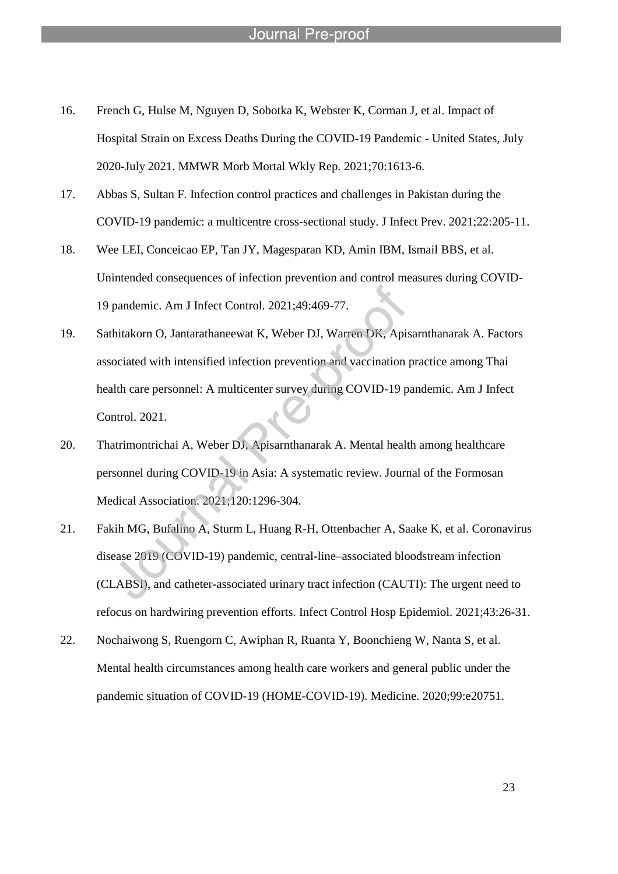- 16. French G, Hulse M, Nguyen D, Sobotka K, Webster K, Corman J, et al. Impact of Hospital Strain on Excess Deaths During the COVID-19 Pandemic - United States, July 2020-July 2021. MMWR Morb Mortal Wkly Rep. 2021;70:1613-6.
- 17. Abbas S, Sultan F. Infection control practices and challenges in Pakistan during the COVID-19 pandemic: a multicentre cross-sectional study. J Infect Prev. 2021;22:205-11.
- 18. Wee LEI, Conceicao EP, Tan JY, Magesparan KD, Amin IBM, Ismail BBS, et al. Unintended consequences of infection prevention and control measures during COVID-19 pandemic. Am J Infect Control. 2021;49:469-77.
- 19. Sathitakorn O, Jantarathaneewat K, Weber DJ, Warren DK, Apisarnthanarak A. Factors associated with intensified infection prevention and vaccination practice among Thai health care personnel: A multicenter survey during COVID-19 pandemic. Am J Infect Control. 2021.
- 20. Thatrimontrichai A, Weber DJ, Apisarnthanarak A. Mental health among healthcare personnel during COVID-19 in Asia: A systematic review. Journal of the Formosan Medical Association. 2021;120:1296-304.
- 21. Fakih MG, Bufalino A, Sturm L, Huang R-H, Ottenbacher A, Saake K, et al. Coronavirus disease 2019 (COVID-19) pandemic, central-line–associated bloodstream infection (CLABSI), and catheter-associated urinary tract infection (CAUTI): The urgent need to refocus on hardwiring prevention efforts. Infect Control Hosp Epidemiol. 2021;43:26-31.
- 22. Nochaiwong S, Ruengorn C, Awiphan R, Ruanta Y, Boonchieng W, Nanta S, et al. Mental health circumstances among health care workers and general public under the pandemic situation of COVID-19 (HOME-COVID-19). Medicine. 2020;99:e20751.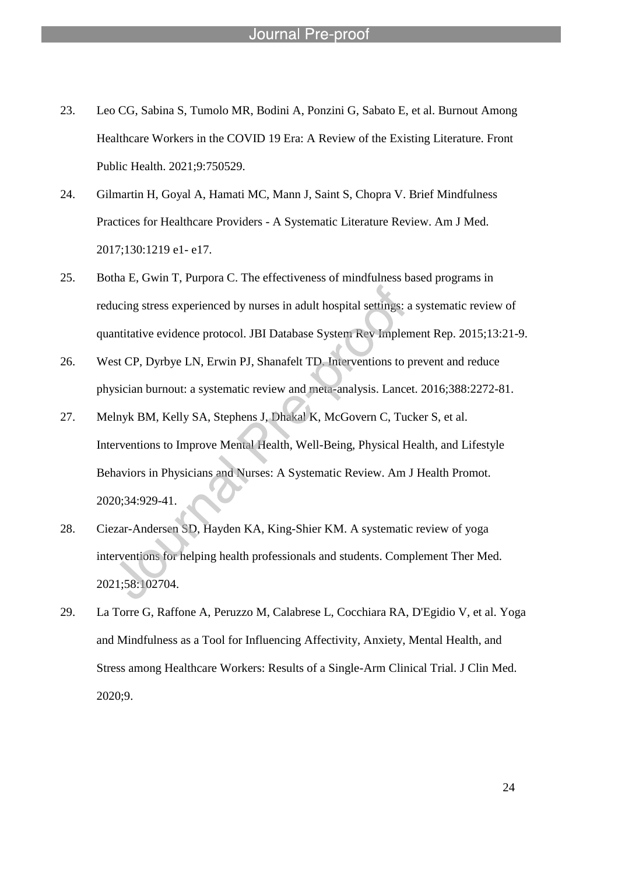23. Leo CG, Sabina S, Tumolo MR, Bodini A, Ponzini G, Sabato E, et al. Burnout Among Healthcare Workers in the COVID 19 Era: A Review of the Existing Literature. Front Public Health. 2021;9:750529.

- 24. Gilmartin H, Goyal A, Hamati MC, Mann J, Saint S, Chopra V. Brief Mindfulness Practices for Healthcare Providers - A Systematic Literature Review. Am J Med. 2017;130:1219 e1- e17.
- 25. Botha E, Gwin T, Purpora C. The effectiveness of mindfulness based programs in reducing stress experienced by nurses in adult hospital settings: a systematic review of quantitative evidence protocol. JBI Database System Rev Implement Rep. 2015;13:21-9.
- 26. West CP, Dyrbye LN, Erwin PJ, Shanafelt TD. Interventions to prevent and reduce physician burnout: a systematic review and meta-analysis. Lancet. 2016;388:2272-81.
- 27. Melnyk BM, Kelly SA, Stephens J, Dhakal K, McGovern C, Tucker S, et al. Interventions to Improve Mental Health, Well-Being, Physical Health, and Lifestyle Behaviors in Physicians and Nurses: A Systematic Review. Am J Health Promot. 2020;34:929-41.
- 28. Ciezar-Andersen SD, Hayden KA, King-Shier KM. A systematic review of yoga interventions for helping health professionals and students. Complement Ther Med. 2021;58:102704.
- 29. La Torre G, Raffone A, Peruzzo M, Calabrese L, Cocchiara RA, D'Egidio V, et al. Yoga and Mindfulness as a Tool for Influencing Affectivity, Anxiety, Mental Health, and Stress among Healthcare Workers: Results of a Single-Arm Clinical Trial. J Clin Med. 2020;9.